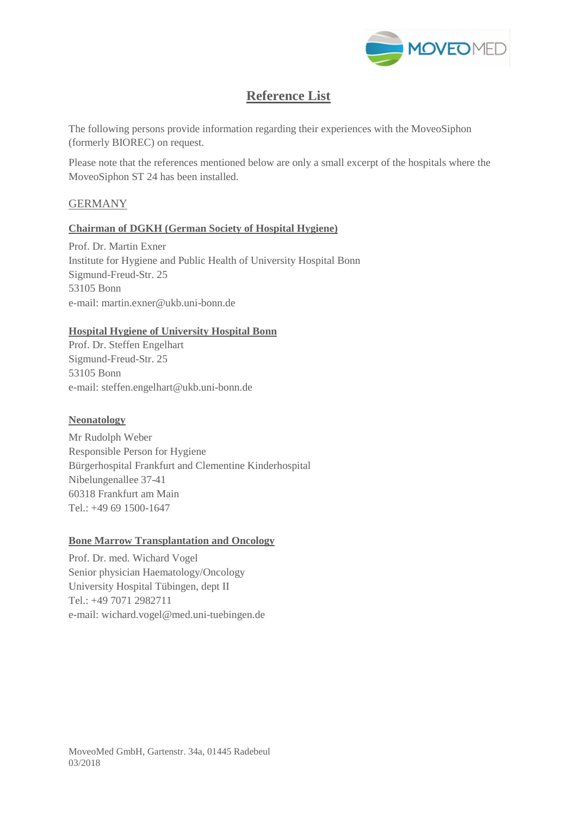

# **Reference List**

The following persons provide information regarding their experiences with the MoveoSiphon (formerly BIOREC) on request.

Please note that the references mentioned below are only a small excerpt of the hospitals where the MoveoSiphon ST 24 has been installed.

# **GERMANY**

# **Chairman of DGKH (German Society of Hospital Hygiene)**

Prof. Dr. Martin Exner Institute for Hygiene and Public Health of University Hospital Bonn Sigmund-Freud-Str. 25 53105 Bonn e-mail: [martin.exner@ukb.uni-bonn.de](mailto:martin.exner@ukb.uni-bonn.de)

## **Hospital Hygiene of University Hospital Bonn**

Prof. Dr. Steffen Engelhart Sigmund-Freud-Str. 25 53105 Bonn e-mail: steffen.engelhar[t@ukb.uni-bonn.de](mailto:martin.exner@ukb.uni-bonn.de)

# **Neonatology**

Mr Rudolph Weber Responsible Person for Hygiene Bürgerhospital Frankfurt and Clementine Kinderhospital Nibelungenallee 37-41 60318 Frankfurt am Main Tel.: +49 69 1500-1647

#### **Bone Marrow Transplantation and Oncology**

Prof. Dr. med. Wichard Vogel Senior physician Haematology/Oncology University Hospital Tübingen, dept II Tel.: +49 7071 2982711 e-mail: wichard.vogel@med.uni-tuebingen.de